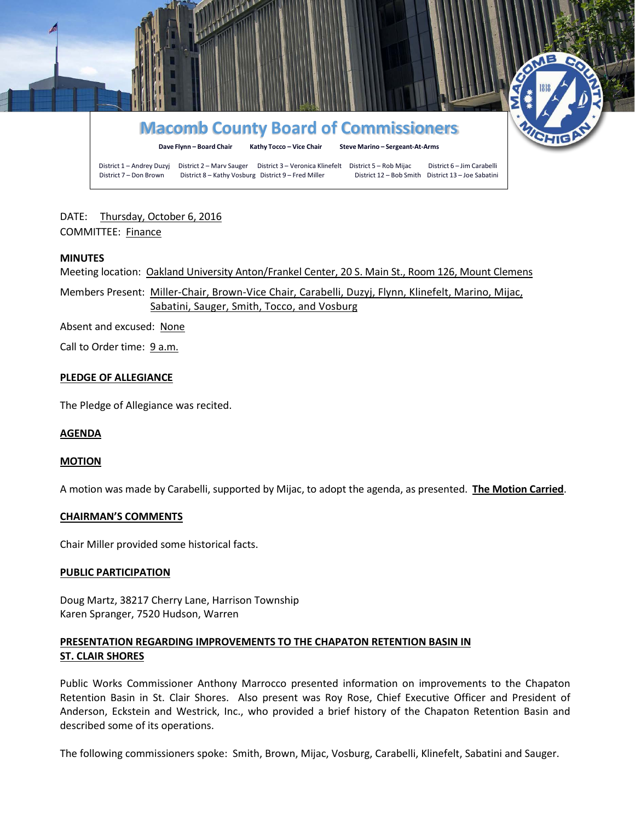

DATE: Thursday, October 6, 2016 COMMITTEE: Finance

### **MINUTES**

Meeting location: Oakland University Anton/Frankel Center, 20 S. Main St., Room 126, Mount Clemens

Members Present: Miller-Chair, Brown-Vice Chair, Carabelli, Duzyj, Flynn, Klinefelt, Marino, Mijac, Sabatini, Sauger, Smith, Tocco, and Vosburg

Absent and excused: None

Call to Order time: 9 a.m.

### **PLEDGE OF ALLEGIANCE**

The Pledge of Allegiance was recited.

### **AGENDA**

#### **MOTION**

A motion was made by Carabelli, supported by Mijac, to adopt the agenda, as presented. **The Motion Carried**.

#### **CHAIRMAN'S COMMENTS**

Chair Miller provided some historical facts.

#### **PUBLIC PARTICIPATION**

Doug Martz, 38217 Cherry Lane, Harrison Township Karen Spranger, 7520 Hudson, Warren

# **PRESENTATION REGARDING IMPROVEMENTS TO THE CHAPATON RETENTION BASIN IN ST. CLAIR SHORES**

Public Works Commissioner Anthony Marrocco presented information on improvements to the Chapaton Retention Basin in St. Clair Shores. Also present was Roy Rose, Chief Executive Officer and President of Anderson, Eckstein and Westrick, Inc., who provided a brief history of the Chapaton Retention Basin and described some of its operations.

The following commissioners spoke: Smith, Brown, Mijac, Vosburg, Carabelli, Klinefelt, Sabatini and Sauger.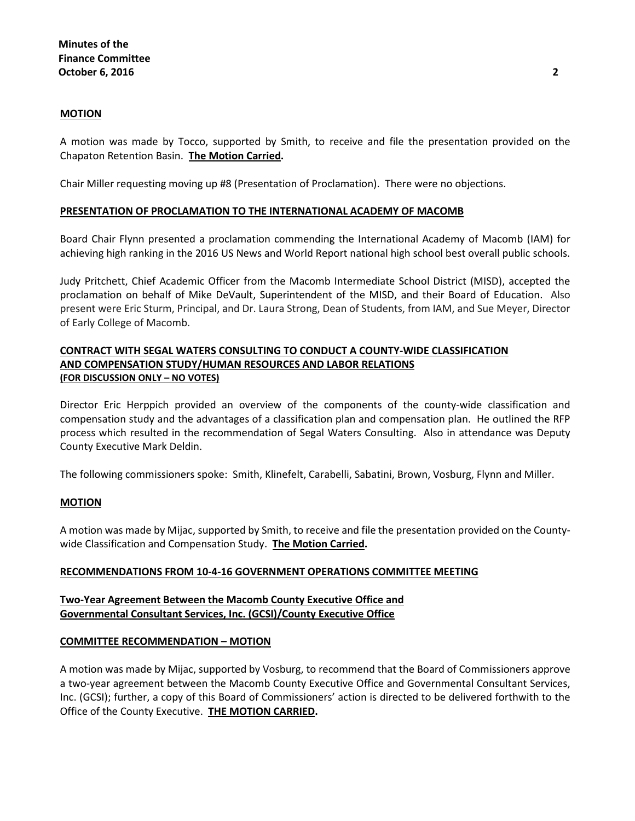# **MOTION**

A motion was made by Tocco, supported by Smith, to receive and file the presentation provided on the Chapaton Retention Basin. **The Motion Carried.**

Chair Miller requesting moving up #8 (Presentation of Proclamation). There were no objections.

# **PRESENTATION OF PROCLAMATION TO THE INTERNATIONAL ACADEMY OF MACOMB**

Board Chair Flynn presented a proclamation commending the International Academy of Macomb (IAM) for achieving high ranking in the 2016 US News and World Report national high school best overall public schools.

Judy Pritchett, Chief Academic Officer from the Macomb Intermediate School District (MISD), accepted the proclamation on behalf of Mike DeVault, Superintendent of the MISD, and their Board of Education. Also present were Eric Sturm, Principal, and Dr. Laura Strong, Dean of Students, from IAM, and Sue Meyer, Director of Early College of Macomb.

# **CONTRACT WITH SEGAL WATERS CONSULTING TO CONDUCT A COUNTY-WIDE CLASSIFICATION AND COMPENSATION STUDY/HUMAN RESOURCES AND LABOR RELATIONS (FOR DISCUSSION ONLY – NO VOTES)**

Director Eric Herppich provided an overview of the components of the county-wide classification and compensation study and the advantages of a classification plan and compensation plan. He outlined the RFP process which resulted in the recommendation of Segal Waters Consulting. Also in attendance was Deputy County Executive Mark Deldin.

The following commissioners spoke: Smith, Klinefelt, Carabelli, Sabatini, Brown, Vosburg, Flynn and Miller.

### **MOTION**

A motion was made by Mijac, supported by Smith, to receive and file the presentation provided on the Countywide Classification and Compensation Study. **The Motion Carried.**

### **RECOMMENDATIONS FROM 10-4-16 GOVERNMENT OPERATIONS COMMITTEE MEETING**

# **Two-Year Agreement Between the Macomb County Executive Office and Governmental Consultant Services, Inc. (GCSI)/County Executive Office**

### **COMMITTEE RECOMMENDATION – MOTION**

A motion was made by Mijac, supported by Vosburg, to recommend that the Board of Commissioners approve a two-year agreement between the Macomb County Executive Office and Governmental Consultant Services, Inc. (GCSI); further, a copy of this Board of Commissioners' action is directed to be delivered forthwith to the Office of the County Executive. **THE MOTION CARRIED.**